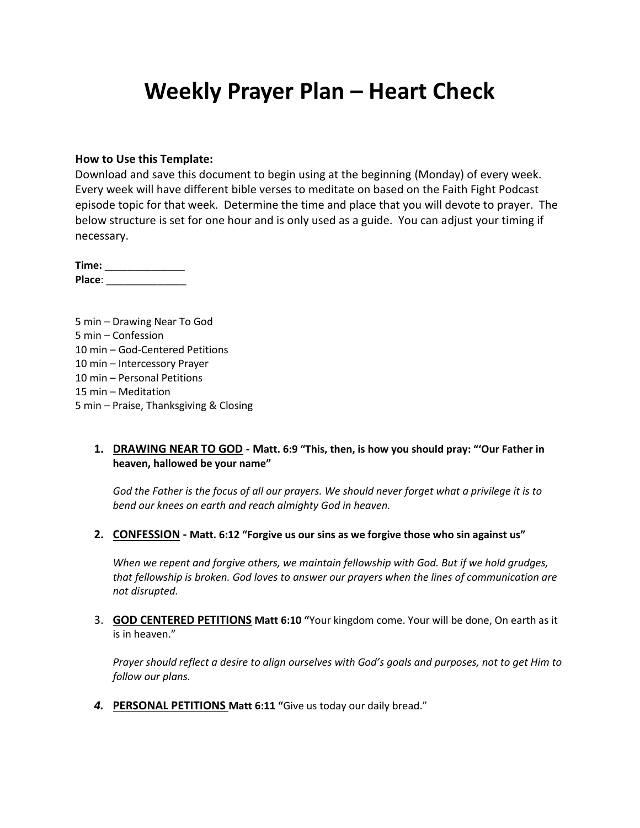# **Weekly Prayer Plan – Heart Check**

#### **How to Use this Template:**

Download and save this document to begin using at the beginning (Monday) of every week. Every week will have different bible verses to meditate on based on the Faith Fight Podcast episode topic for that week. Determine the time and place that you will devote to prayer. The below structure is set for one hour and is only used as a guide. You can adjust your timing if necessary.

**Time:** \_\_\_\_\_\_\_\_\_\_\_\_\_\_ **Place**: \_\_\_\_\_\_\_\_\_\_\_\_\_\_

5 min – Drawing Near To God 5 min – Confession 10 min – God-Centered Petitions 10 min – Intercessory Prayer 10 min – Personal Petitions 15 min – Meditation 5 min – Praise, Thanksgiving & Closing

#### **1. DRAWING NEAR TO GOD - Matt. 6:9 "This, then, is how you should pray: "'Our Father in heaven, hallowed be your name"**

*God the Father is the focus of all our prayers. We should never forget what a privilege it is to bend our knees on earth and reach almighty God in heaven.*

**2. CONFESSION - Matt. 6:12 "Forgive us our sins as we forgive those who sin against us"**

*When we repent and forgive others, we maintain fellowship with God. But if we hold grudges, that fellowship is broken. God loves to answer our prayers when the lines of communication are not disrupted.*

3. **GOD CENTERED PETITIONS Matt 6:10 "**Your kingdom come. Your will be done, On earth as it is in heaven."

*Prayer should reflect a desire to align ourselves with God's goals and purposes, not to get Him to follow our plans.*

*4.* **PERSONAL PETITIONS Matt 6:11 "**Give us today our daily bread."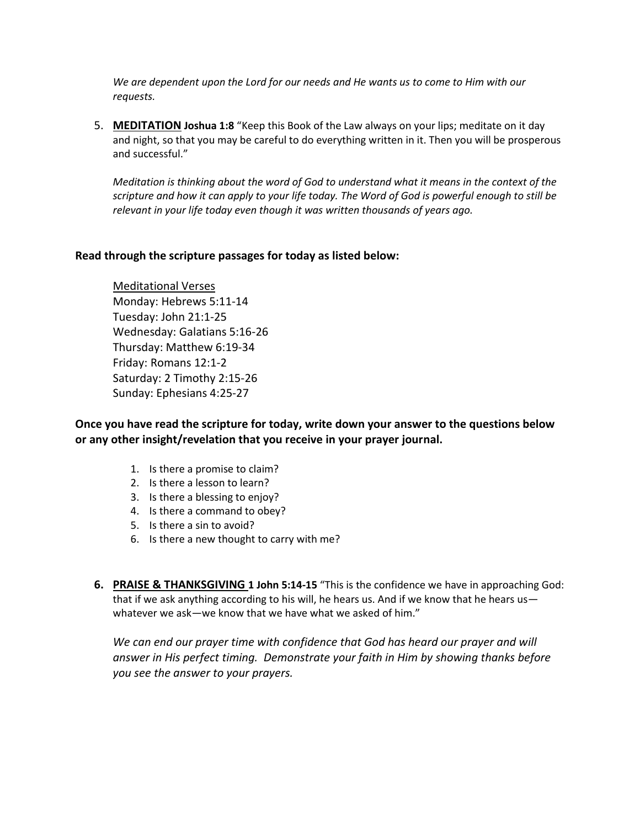*We are dependent upon the Lord for our needs and He wants us to come to Him with our requests.*

5. **MEDITATION Joshua 1:8** "Keep this Book of the Law always on your lips; meditate on it day and night, so that you may be careful to do everything written in it. Then you will be prosperous and successful."

*Meditation is thinking about the word of God to understand what it means in the context of the scripture and how it can apply to your life today. The Word of God is powerful enough to still be relevant in your life today even though it was written thousands of years ago.*

#### **Read through the scripture passages for today as listed below:**

Meditational Verses Monday: Hebrews 5:11-14 Tuesday: John 21:1-25 Wednesday: Galatians 5:16-26 Thursday: Matthew 6:19-34 Friday: Romans 12:1-2 Saturday: 2 Timothy 2:15-26 Sunday: Ephesians 4:25-27

**Once you have read the scripture for today, write down your answer to the questions below or any other insight/revelation that you receive in your prayer journal.** 

- 1. Is there a promise to claim?
- 2. Is there a lesson to learn?
- 3. Is there a blessing to enjoy?
- 4. Is there a command to obey?
- 5. Is there a sin to avoid?
- 6. Is there a new thought to carry with me?
- **6. PRAISE & THANKSGIVING 1 John 5:14-15** "This is the confidence we have in approaching God: that if we ask anything according to his will, he hears us. And if we know that he hears us whatever we ask—we know that we have what we asked of him."

We can end our prayer time with confidence that God has heard our prayer and will *answer in His perfect timing. Demonstrate your faith in Him by showing thanks before you see the answer to your prayers.*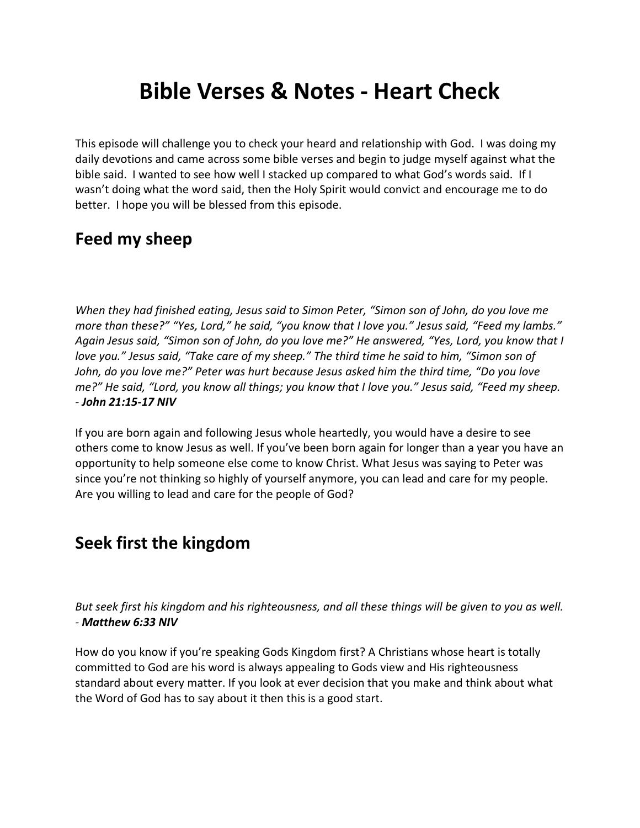# **Bible Verses & Notes - Heart Check**

This episode will challenge you to check your heard and relationship with God. I was doing my daily devotions and came across some bible verses and begin to judge myself against what the bible said. I wanted to see how well I stacked up compared to what God's words said. If I wasn't doing what the word said, then the Holy Spirit would convict and encourage me to do better. I hope you will be blessed from this episode.

## **Feed my sheep**

*When they had finished eating, Jesus said to Simon Peter, "Simon son of John, do you love me more than these?" "Yes, Lord," he said, "you know that I love you." Jesus said, "Feed my lambs." Again Jesus said, "Simon son of John, do you love me?" He answered, "Yes, Lord, you know that I love you." Jesus said, "Take care of my sheep." The third time he said to him, "Simon son of John, do you love me?" Peter was hurt because Jesus asked him the third time, "Do you love me?" He said, "Lord, you know all things; you know that I love you." Jesus said, "Feed my sheep. - John 21:15-17 NIV*

If you are born again and following Jesus whole heartedly, you would have a desire to see others come to know Jesus as well. If you've been born again for longer than a year you have an opportunity to help someone else come to know Christ. What Jesus was saying to Peter was since you're not thinking so highly of yourself anymore, you can lead and care for my people. Are you willing to lead and care for the people of God?

### **Seek first the kingdom**

*But seek first his kingdom and his righteousness, and all these things will be given to you as well. - Matthew 6:33 NIV*

How do you know if you're speaking Gods Kingdom first? A Christians whose heart is totally committed to God are his word is always appealing to Gods view and His righteousness standard about every matter. If you look at ever decision that you make and think about what the Word of God has to say about it then this is a good start.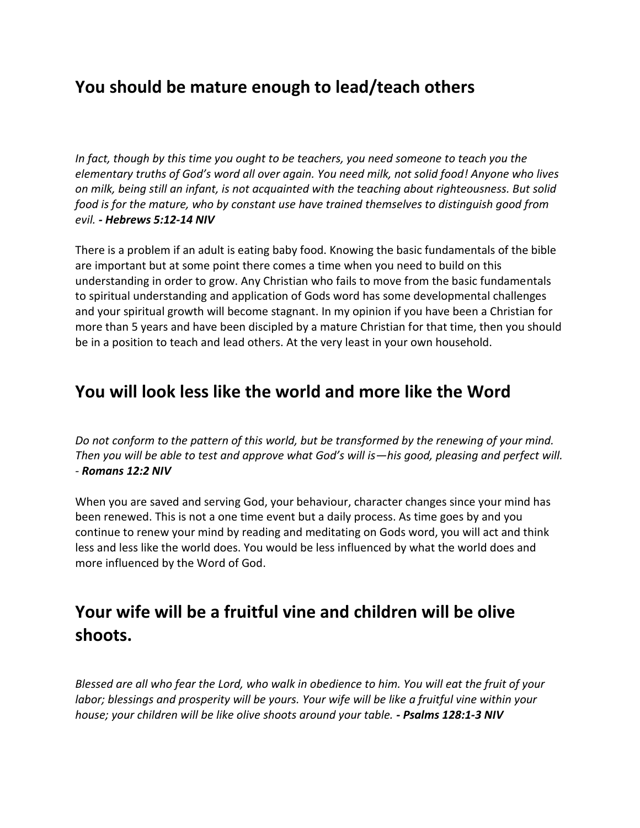### **You should be mature enough to lead/teach others**

*In fact, though by this time you ought to be teachers, you need someone to teach you the elementary truths of God's word all over again. You need milk, not solid food! Anyone who lives on milk, being still an infant, is not acquainted with the teaching about righteousness. But solid food is for the mature, who by constant use have trained themselves to distinguish good from evil. - Hebrews 5:12-14 NIV*

There is a problem if an adult is eating baby food. Knowing the basic fundamentals of the bible are important but at some point there comes a time when you need to build on this understanding in order to grow. Any Christian who fails to move from the basic fundamentals to spiritual understanding and application of Gods word has some developmental challenges and your spiritual growth will become stagnant. In my opinion if you have been a Christian for more than 5 years and have been discipled by a mature Christian for that time, then you should be in a position to teach and lead others. At the very least in your own household.

#### **You will look less like the world and more like the Word**

*Do not conform to the pattern of this world, but be transformed by the renewing of your mind. Then you will be able to test and approve what God's will is—his good, pleasing and perfect will. - Romans 12:2 NIV*

When you are saved and serving God, your behaviour, character changes since your mind has been renewed. This is not a one time event but a daily process. As time goes by and you continue to renew your mind by reading and meditating on Gods word, you will act and think less and less like the world does. You would be less influenced by what the world does and more influenced by the Word of God.

## **Your wife will be a fruitful vine and children will be olive shoots.**

*Blessed are all who fear the Lord, who walk in obedience to him. You will eat the fruit of your labor; blessings and prosperity will be yours. Your wife will be like a fruitful vine within your house; your children will be like olive shoots around your table. - Psalms 128:1-3 NIV*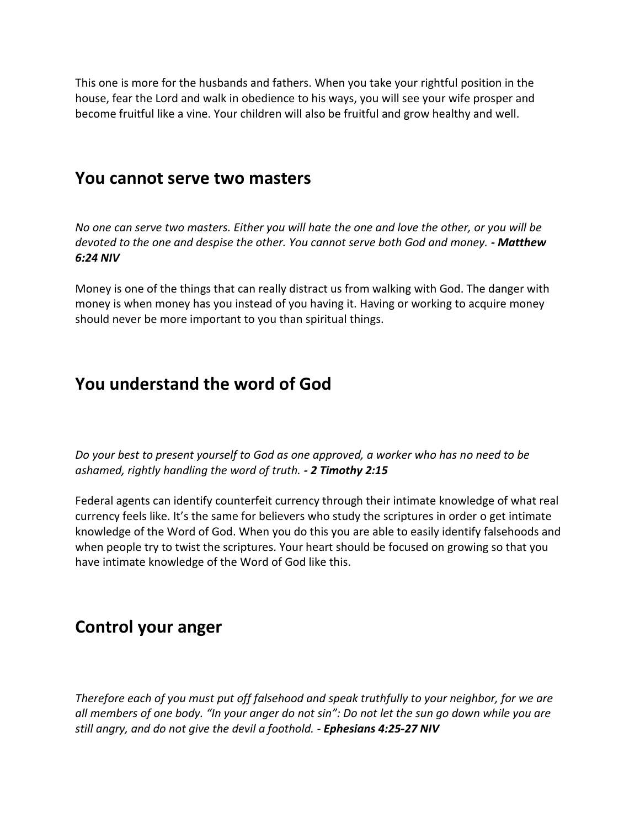This one is more for the husbands and fathers. When you take your rightful position in the house, fear the Lord and walk in obedience to his ways, you will see your wife prosper and become fruitful like a vine. Your children will also be fruitful and grow healthy and well.

#### **You cannot serve two masters**

*No one can serve two masters. Either you will hate the one and love the other, or you will be devoted to the one and despise the other. You cannot serve both God and money. - Matthew 6:24 NIV*

Money is one of the things that can really distract us from walking with God. The danger with money is when money has you instead of you having it. Having or working to acquire money should never be more important to you than spiritual things.

### **You understand the word of God**

*Do your best to present yourself to God as one approved, a worker who has no need to be ashamed, rightly handling the word of truth. - 2 Timothy 2:15*

Federal agents can identify counterfeit currency through their intimate knowledge of what real currency feels like. It's the same for believers who study the scriptures in order o get intimate knowledge of the Word of God. When you do this you are able to easily identify falsehoods and when people try to twist the scriptures. Your heart should be focused on growing so that you have intimate knowledge of the Word of God like this.

### **Control your anger**

*Therefore each of you must put off falsehood and speak truthfully to your neighbor, for we are all members of one body. "In your anger do not sin": Do not let the sun go down while you are still angry, and do not give the devil a foothold.* - *Ephesians 4:25-27 NIV*